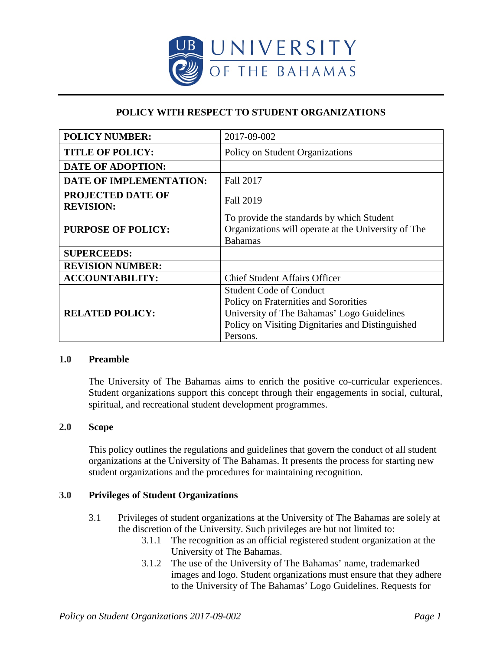

# **POLICY WITH RESPECT TO STUDENT ORGANIZATIONS**

| <b>POLICY NUMBER:</b>                        | 2017-09-002                                                                                                                                                                           |
|----------------------------------------------|---------------------------------------------------------------------------------------------------------------------------------------------------------------------------------------|
| <b>TITLE OF POLICY:</b>                      | Policy on Student Organizations                                                                                                                                                       |
| <b>DATE OF ADOPTION:</b>                     |                                                                                                                                                                                       |
| <b>DATE OF IMPLEMENTATION:</b>               | Fall 2017                                                                                                                                                                             |
| <b>PROJECTED DATE OF</b><br><b>REVISION:</b> | <b>Fall 2019</b>                                                                                                                                                                      |
| <b>PURPOSE OF POLICY:</b>                    | To provide the standards by which Student<br>Organizations will operate at the University of The<br><b>Bahamas</b>                                                                    |
| <b>SUPERCEEDS:</b>                           |                                                                                                                                                                                       |
| <b>REVISION NUMBER:</b>                      |                                                                                                                                                                                       |
| <b>ACCOUNTABILITY:</b>                       | <b>Chief Student Affairs Officer</b>                                                                                                                                                  |
| <b>RELATED POLICY:</b>                       | <b>Student Code of Conduct</b><br>Policy on Fraternities and Sororities<br>University of The Bahamas' Logo Guidelines<br>Policy on Visiting Dignitaries and Distinguished<br>Persons. |

#### **1.0 Preamble**

The University of The Bahamas aims to enrich the positive co-curricular experiences. Student organizations support this concept through their engagements in social, cultural, spiritual, and recreational student development programmes.

## **2.0 Scope**

This policy outlines the regulations and guidelines that govern the conduct of all student organizations at the University of The Bahamas. It presents the process for starting new student organizations and the procedures for maintaining recognition.

## **3.0 Privileges of Student Organizations**

- 3.1 Privileges of student organizations at the University of The Bahamas are solely at the discretion of the University. Such privileges are but not limited to:
	- 3.1.1 The recognition as an official registered student organization at the University of The Bahamas.
	- 3.1.2 The use of the University of The Bahamas' name, trademarked images and logo. Student organizations must ensure that they adhere to the University of The Bahamas' Logo Guidelines. Requests for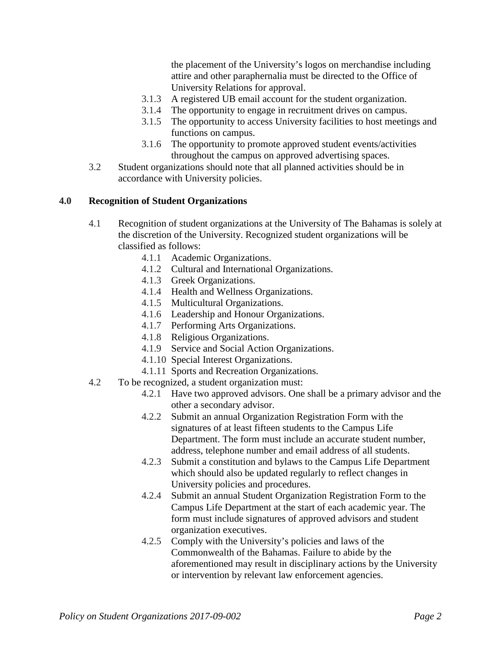the placement of the University's logos on merchandise including attire and other paraphernalia must be directed to the Office of University Relations for approval.

- 3.1.3 A registered UB email account for the student organization.
- 3.1.4 The opportunity to engage in recruitment drives on campus.
- 3.1.5 The opportunity to access University facilities to host meetings and functions on campus.
- 3.1.6 The opportunity to promote approved student events/activities throughout the campus on approved advertising spaces.
- 3.2 Student organizations should note that all planned activities should be in accordance with University policies.

## **4.0 Recognition of Student Organizations**

- 4.1 Recognition of student organizations at the University of The Bahamas is solely at the discretion of the University. Recognized student organizations will be classified as follows:
	- 4.1.1 Academic Organizations.
	- 4.1.2 Cultural and International Organizations.
	- 4.1.3 Greek Organizations.
	- 4.1.4 Health and Wellness Organizations.
	- 4.1.5 Multicultural Organizations.
	- 4.1.6 Leadership and Honour Organizations.
	- 4.1.7 Performing Arts Organizations.
	- 4.1.8 Religious Organizations.
	- 4.1.9 Service and Social Action Organizations.
	- 4.1.10 Special Interest Organizations.
	- 4.1.11 Sports and Recreation Organizations.
- 4.2 To be recognized, a student organization must:
	- 4.2.1 Have two approved advisors. One shall be a primary advisor and the other a secondary advisor.
	- 4.2.2 Submit an annual Organization Registration Form with the signatures of at least fifteen students to the Campus Life Department. The form must include an accurate student number, address, telephone number and email address of all students.
	- 4.2.3 Submit a constitution and bylaws to the Campus Life Department which should also be updated regularly to reflect changes in University policies and procedures.
	- 4.2.4 Submit an annual Student Organization Registration Form to the Campus Life Department at the start of each academic year. The form must include signatures of approved advisors and student organization executives.
	- 4.2.5 Comply with the University's policies and laws of the Commonwealth of the Bahamas. Failure to abide by the aforementioned may result in disciplinary actions by the University or intervention by relevant law enforcement agencies.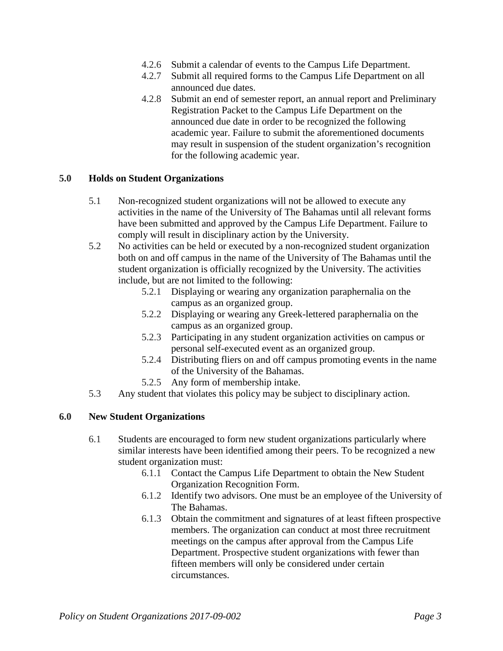- 4.2.6 Submit a calendar of events to the Campus Life Department.
- 4.2.7 Submit all required forms to the Campus Life Department on all announced due dates.
- 4.2.8 Submit an end of semester report, an annual report and Preliminary Registration Packet to the Campus Life Department on the announced due date in order to be recognized the following academic year. Failure to submit the aforementioned documents may result in suspension of the student organization's recognition for the following academic year.

## **5.0 Holds on Student Organizations**

- 5.1 Non-recognized student organizations will not be allowed to execute any activities in the name of the University of The Bahamas until all relevant forms have been submitted and approved by the Campus Life Department. Failure to comply will result in disciplinary action by the University.
- 5.2 No activities can be held or executed by a non-recognized student organization both on and off campus in the name of the University of The Bahamas until the student organization is officially recognized by the University. The activities include, but are not limited to the following:
	- 5.2.1 Displaying or wearing any organization paraphernalia on the campus as an organized group.
	- 5.2.2 Displaying or wearing any Greek-lettered paraphernalia on the campus as an organized group.
	- 5.2.3 Participating in any student organization activities on campus or personal self-executed event as an organized group.
	- 5.2.4 Distributing fliers on and off campus promoting events in the name of the University of the Bahamas.
	- 5.2.5 Any form of membership intake.
- 5.3 Any student that violates this policy may be subject to disciplinary action.

#### **6.0 New Student Organizations**

- 6.1 Students are encouraged to form new student organizations particularly where similar interests have been identified among their peers. To be recognized a new student organization must:
	- 6.1.1 Contact the Campus Life Department to obtain the New Student Organization Recognition Form.
	- 6.1.2 Identify two advisors. One must be an employee of the University of The Bahamas.
	- 6.1.3 Obtain the commitment and signatures of at least fifteen prospective members. The organization can conduct at most three recruitment meetings on the campus after approval from the Campus Life Department. Prospective student organizations with fewer than fifteen members will only be considered under certain circumstances.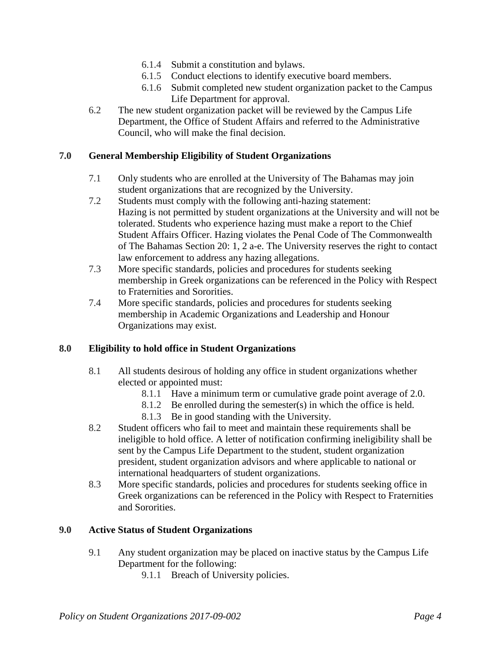- 6.1.4 Submit a constitution and bylaws.
- 6.1.5 Conduct elections to identify executive board members.
- 6.1.6 Submit completed new student organization packet to the Campus Life Department for approval.
- 6.2 The new student organization packet will be reviewed by the Campus Life Department, the Office of Student Affairs and referred to the Administrative Council, who will make the final decision.

## **7.0 General Membership Eligibility of Student Organizations**

- 7.1 Only students who are enrolled at the University of The Bahamas may join student organizations that are recognized by the University.
- 7.2 Students must comply with the following anti-hazing statement: Hazing is not permitted by student organizations at the University and will not be tolerated. Students who experience hazing must make a report to the Chief Student Affairs Officer. Hazing violates the Penal Code of The Commonwealth of The Bahamas Section 20: 1, 2 a-e. The University reserves the right to contact law enforcement to address any hazing allegations.
- 7.3 More specific standards, policies and procedures for students seeking membership in Greek organizations can be referenced in the Policy with Respect to Fraternities and Sororities.
- 7.4 More specific standards, policies and procedures for students seeking membership in Academic Organizations and Leadership and Honour Organizations may exist.

#### **8.0 Eligibility to hold office in Student Organizations**

- 8.1 All students desirous of holding any office in student organizations whether elected or appointed must:
	- 8.1.1 Have a minimum term or cumulative grade point average of 2.0.
	- 8.1.2 Be enrolled during the semester(s) in which the office is held.
	- 8.1.3 Be in good standing with the University.
- 8.2 Student officers who fail to meet and maintain these requirements shall be ineligible to hold office. A letter of notification confirming ineligibility shall be sent by the Campus Life Department to the student, student organization president, student organization advisors and where applicable to national or international headquarters of student organizations.
- 8.3 More specific standards, policies and procedures for students seeking office in Greek organizations can be referenced in the Policy with Respect to Fraternities and Sororities.

### **9.0 Active Status of Student Organizations**

- 9.1 Any student organization may be placed on inactive status by the Campus Life Department for the following:
	- 9.1.1 Breach of University policies.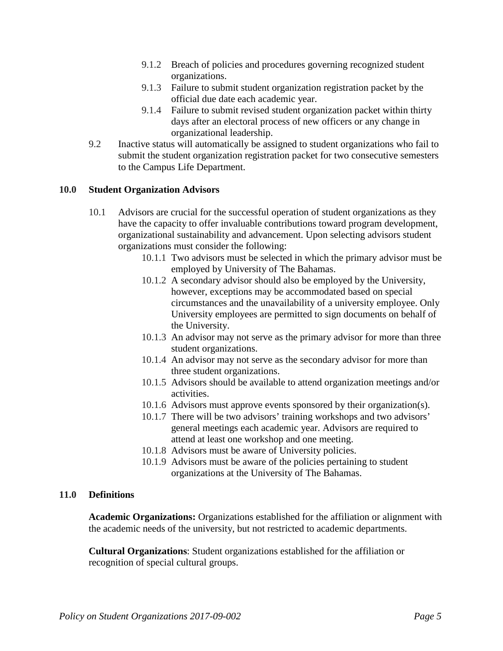- 9.1.2 Breach of policies and procedures governing recognized student organizations.
- 9.1.3 Failure to submit student organization registration packet by the official due date each academic year.
- 9.1.4 Failure to submit revised student organization packet within thirty days after an electoral process of new officers or any change in organizational leadership.
- 9.2 Inactive status will automatically be assigned to student organizations who fail to submit the student organization registration packet for two consecutive semesters to the Campus Life Department.

#### **10.0 Student Organization Advisors**

- 10.1 Advisors are crucial for the successful operation of student organizations as they have the capacity to offer invaluable contributions toward program development, organizational sustainability and advancement. Upon selecting advisors student organizations must consider the following:
	- 10.1.1 Two advisors must be selected in which the primary advisor must be employed by University of The Bahamas.
	- 10.1.2 A secondary advisor should also be employed by the University, however, exceptions may be accommodated based on special circumstances and the unavailability of a university employee. Only University employees are permitted to sign documents on behalf of the University.
	- 10.1.3 An advisor may not serve as the primary advisor for more than three student organizations.
	- 10.1.4 An advisor may not serve as the secondary advisor for more than three student organizations.
	- 10.1.5 Advisors should be available to attend organization meetings and/or activities.
	- 10.1.6 Advisors must approve events sponsored by their organization(s).
	- 10.1.7 There will be two advisors' training workshops and two advisors' general meetings each academic year. Advisors are required to attend at least one workshop and one meeting.
	- 10.1.8 Advisors must be aware of University policies.
	- 10.1.9 Advisors must be aware of the policies pertaining to student organizations at the University of The Bahamas.

#### **11.0 Definitions**

**Academic Organizations:** Organizations established for the affiliation or alignment with the academic needs of the university, but not restricted to academic departments.

**Cultural Organizations**: Student organizations established for the affiliation or recognition of special cultural groups.